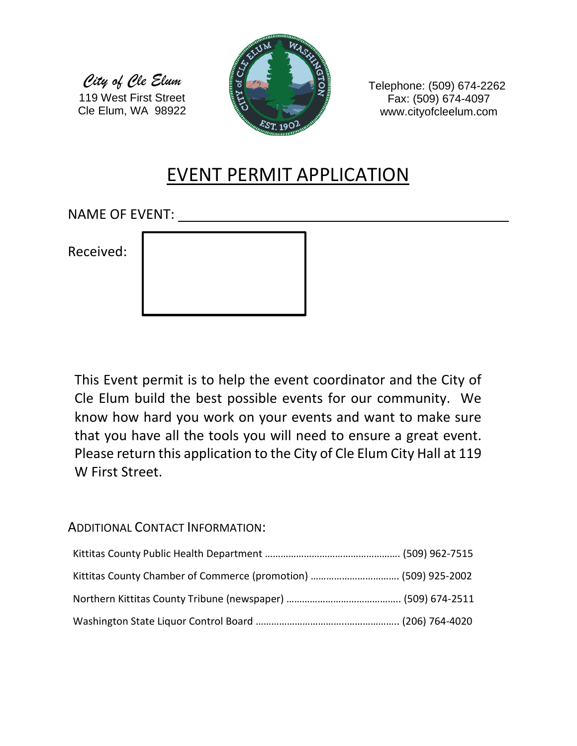*City of Cle Elum* 119 West First Street Cle Elum, WA 98922



Telephone: (509) 674-2262 Fax: (509) 674-4097 www.cityofcleelum.com

# EVENT PERMIT APPLICATION

NAME OF EVENT:

Received:

This Event permit is to help the event coordinator and the City of Cle Elum build the best possible events for our community. We know how hard you work on your events and want to make sure that you have all the tools you will need to ensure a great event. Please return this application to the City of Cle Elum City Hall at 119 W First Street.

### ADDITIONAL CONTACT INFORMATION: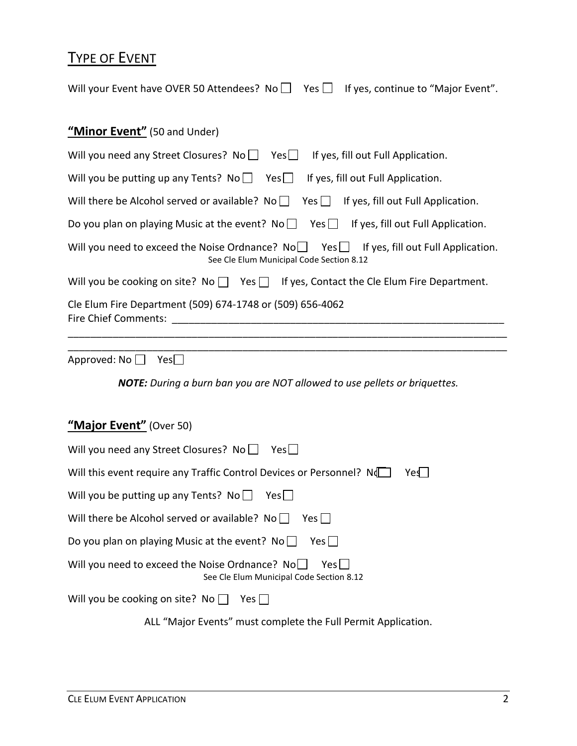## TYPE OF EVENT

Will your Event have OVER 50 Attendees? No  $\Box$  Yes  $\Box$  If yes, continue to "Major Event".

### **"Minor Event"** (50 and Under)

| Will you need any Street Closures? No $\Box$ Yes $\Box$ If yes, fill out Full Application.                                                  |
|---------------------------------------------------------------------------------------------------------------------------------------------|
| Will you be putting up any Tents? $No \Box$ Yes $\Box$ If yes, fill out Full Application.                                                   |
| Will there be Alcohol served or available? No $\Box$ Yes $\Box$ If yes, fill out Full Application.                                          |
| Do you plan on playing Music at the event? $No \Box$ Yes $\Box$ If yes, fill out Full Application.                                          |
| Will you need to exceed the Noise Ordnance? $N_0$ Yes $\Box$ If yes, fill out Full Application.<br>See Cle Elum Municipal Code Section 8.12 |
| Will you be cooking on site? No $\Box$ Yes $\Box$ If yes, Contact the Cle Elum Fire Department.                                             |
| Cle Elum Fire Department (509) 674-1748 or (509) 656-4062<br>Fire Chief Comments:                                                           |

Approved:  $No$   $\Box$  Yes $\Box$ 

*NOTE: During a burn ban you are NOT allowed to use pellets or briquettes.*

\_\_\_\_\_\_\_\_\_\_\_\_\_\_\_\_\_\_\_\_\_\_\_\_\_\_\_\_\_\_\_\_\_\_\_\_\_\_\_\_\_\_\_\_\_\_\_\_\_\_\_\_\_\_\_\_\_\_\_\_\_\_\_\_\_\_\_\_\_\_\_\_\_\_\_\_\_\_

### **"Major Event"** (Over 50)

| Will you need any Street Closures? No     Yes                                                        |
|------------------------------------------------------------------------------------------------------|
| Will this event require any Traffic Control Devices or Personnel? N<br>Yes                           |
| Will you be putting up any Tents? $No \cup Yes \cup$                                                 |
| Will there be Alcohol served or available? No<br>Yes                                                 |
| Do you plan on playing Music at the event? No $\Box$<br>Yes                                          |
| Will you need to exceed the Noise Ordnance? No<br>Yes II<br>See Cle Elum Municipal Code Section 8.12 |
| Will you be cooking on site? No $\Box$<br>Yes                                                        |
| ALL "Major Events" must complete the Full Permit Application.                                        |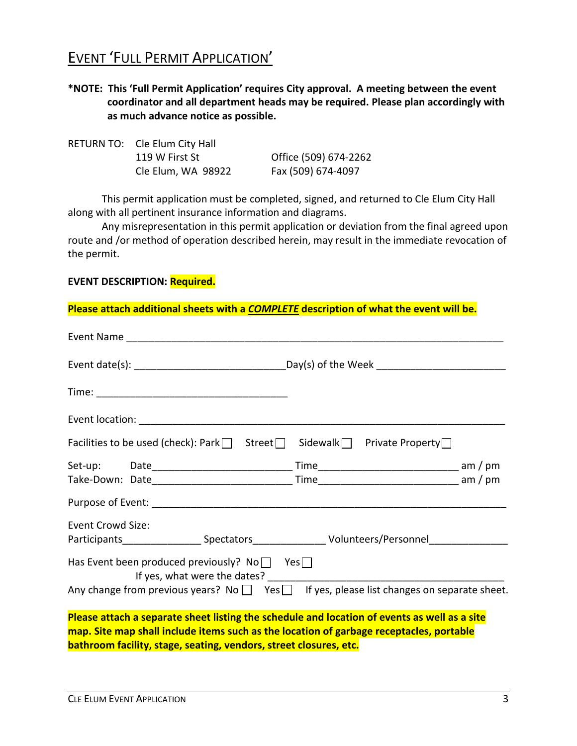## EVENT 'FULL PERMIT APPLICATION'

**\*NOTE: This 'Full Permit Application' requires City approval. A meeting between the event coordinator and all department heads may be required. Please plan accordingly with as much advance notice as possible.**

| RETURN TO: Cle Elum City Hall |                       |
|-------------------------------|-----------------------|
| 119 W First St                | Office (509) 674-2262 |
| Cle Elum, WA 98922            | Fax (509) 674-4097    |

This permit application must be completed, signed, and returned to Cle Elum City Hall along with all pertinent insurance information and diagrams.

Any misrepresentation in this permit application or deviation from the final agreed upon route and /or method of operation described herein, may result in the immediate revocation of the permit.

#### **EVENT DESCRIPTION: Required.**

**Please attach additional sheets with a** *COMPLETE* **description of what the event will be.**

| Facilities to be used (check): Park $\Box$ Street $\Box$ Sidewalk $\Box$ Private Property $\Box$                                                             |                                                                                                     |
|--------------------------------------------------------------------------------------------------------------------------------------------------------------|-----------------------------------------------------------------------------------------------------|
|                                                                                                                                                              |                                                                                                     |
|                                                                                                                                                              |                                                                                                     |
|                                                                                                                                                              |                                                                                                     |
| <b>Event Crowd Size:</b>                                                                                                                                     |                                                                                                     |
|                                                                                                                                                              | Participants _____________________Spectators ___________________________________                    |
| Has Event been produced previously? No $\Box$ Yes $\Box$<br>If yes, what were the dates? _________                                                           | Any change from previous years? No $\Box$ Yes $\Box$ If yes, please list changes on separate sheet. |
| Please attach a separate sheet listing the schedule and location of events as well as a site                                                                 |                                                                                                     |
| map. Site map shall include items such as the location of garbage receptacles, portable<br>bathroom facility, stage, seating, vendors, street closures, etc. |                                                                                                     |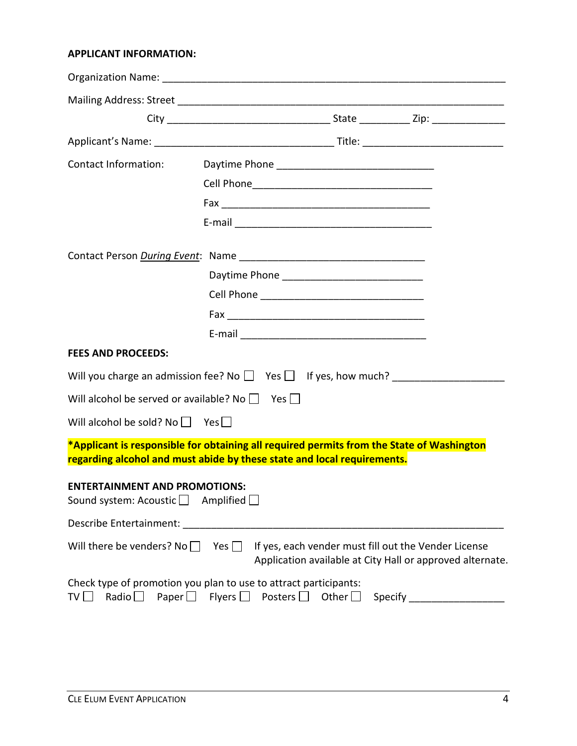#### **APPLICANT INFORMATION:**

| Contact Information:                                                     |                                                                                                                                                                      |
|--------------------------------------------------------------------------|----------------------------------------------------------------------------------------------------------------------------------------------------------------------|
|                                                                          |                                                                                                                                                                      |
|                                                                          |                                                                                                                                                                      |
|                                                                          |                                                                                                                                                                      |
|                                                                          |                                                                                                                                                                      |
|                                                                          |                                                                                                                                                                      |
|                                                                          |                                                                                                                                                                      |
|                                                                          |                                                                                                                                                                      |
|                                                                          |                                                                                                                                                                      |
| <b>FEES AND PROCEEDS:</b>                                                |                                                                                                                                                                      |
|                                                                          |                                                                                                                                                                      |
| Will alcohol be served or available? No $\Box$ Yes $\Box$                |                                                                                                                                                                      |
| Will alcohol be sold? No $\Box$ Yes $\Box$                               |                                                                                                                                                                      |
|                                                                          | *Applicant is responsible for obtaining all required permits from the State of Washington<br>regarding alcohol and must abide by these state and local requirements. |
| <b>ENTERTAINMENT AND PROMOTIONS:</b><br>Sound system: Acoustic $\square$ | Amplified $\Box$                                                                                                                                                     |
| Describe Entertainment:                                                  |                                                                                                                                                                      |
| Will there be venders? No $\Box$                                         | Yes $\Box$<br>If yes, each vender must fill out the Vender License<br>Application available at City Hall or approved alternate.                                      |
| Paper $\square$<br>Radio $\Box$<br>TV [                                  | Check type of promotion you plan to use to attract participants:<br>Flyers $\Box$<br>Posters $\Box$<br>Other $\Box$                                                  |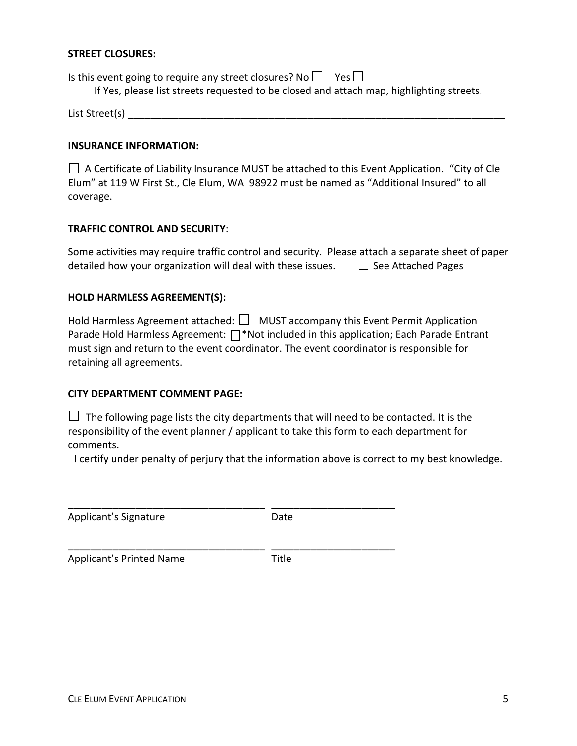#### **STREET CLOSURES:**

Is this event going to require any street closures? No  $\Box$  Yes  $\Box$ If Yes, please list streets requested to be closed and attach map, highlighting streets. List Street(s) **Literature of the street** of the street of the street of the street of the street of the street of the street of the street of the street of the street of the street of the street of the street of the stree

#### **INSURANCE INFORMATION:**

 $\Box$  A Certificate of Liability Insurance MUST be attached to this Event Application. "City of Cle Elum" at 119 W First St., Cle Elum, WA 98922 must be named as "Additional Insured" to all coverage.

#### **TRAFFIC CONTROL AND SECURITY**:

| Some activities may require traffic control and security. Please attach a separate sheet of paper |                           |
|---------------------------------------------------------------------------------------------------|---------------------------|
| detailed how your organization will deal with these issues.                                       | $\Box$ See Attached Pages |

#### **HOLD HARMLESS AGREEMENT(S):**

| Hold Harmless Agreement attached: $\Box$ MUST accompany this Event Permit Application          |
|------------------------------------------------------------------------------------------------|
| Parade Hold Harmless Agreement: $\Box^*$ Not included in this application; Each Parade Entrant |
| must sign and return to the event coordinator. The event coordinator is responsible for        |
| retaining all agreements.                                                                      |

#### **CITY DEPARTMENT COMMENT PAGE:**

 $\Box$  The following page lists the city departments that will need to be contacted. It is the responsibility of the event planner / applicant to take this form to each department for comments.

I certify under penalty of perjury that the information above is correct to my best knowledge.

| Applicant's Signature           | Date  |
|---------------------------------|-------|
| <b>Applicant's Printed Name</b> | Title |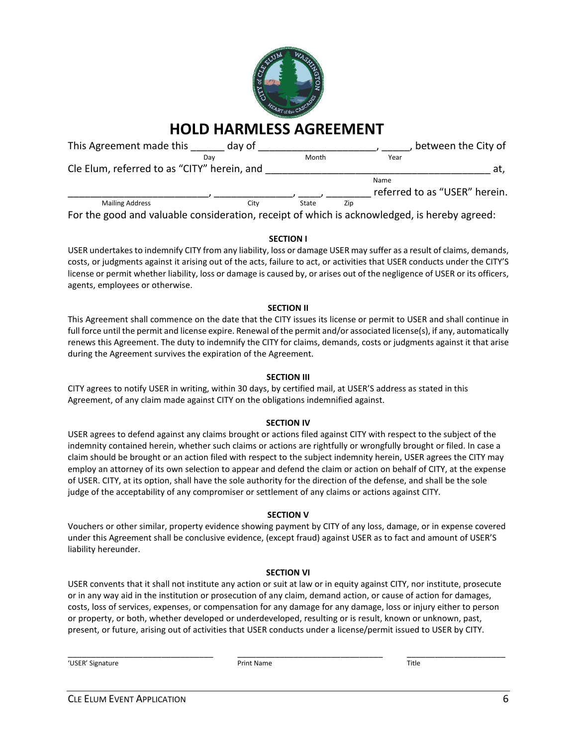

## **HOLD HARMLESS AGREEMENT**

| This Agreement made this                                                                     | day of |       |     |      | between the City of           |
|----------------------------------------------------------------------------------------------|--------|-------|-----|------|-------------------------------|
|                                                                                              | Dav    | Month |     | Year |                               |
| Cle Elum, referred to as "CITY" herein, and                                                  |        |       |     |      | at,                           |
|                                                                                              |        |       |     | Name |                               |
|                                                                                              |        |       |     |      | referred to as "USER" herein. |
| <b>Mailing Address</b>                                                                       | Citv   | State | Zip |      |                               |
| For the good and valuable consideration, receipt of which is acknowledged, is hereby agreed: |        |       |     |      |                               |

#### **SECTION I**

USER undertakes to indemnify CITY from any liability, loss or damage USER may suffer as a result of claims, demands, costs, or judgments against it arising out of the acts, failure to act, or activities that USER conducts under the CITY'S license or permit whether liability, loss or damage is caused by, or arises out of the negligence of USER or its officers, agents, employees or otherwise.

#### **SECTION II**

This Agreement shall commence on the date that the CITY issues its license or permit to USER and shall continue in full force until the permit and license expire. Renewal of the permit and/or associated license(s), if any, automatically renews this Agreement. The duty to indemnify the CITY for claims, demands, costs or judgments against it that arise during the Agreement survives the expiration of the Agreement.

#### **SECTION III**

CITY agrees to notify USER in writing, within 30 days, by certified mail, at USER'S address as stated in this Agreement, of any claim made against CITY on the obligations indemnified against.

#### **SECTION IV**

USER agrees to defend against any claims brought or actions filed against CITY with respect to the subject of the indemnity contained herein, whether such claims or actions are rightfully or wrongfully brought or filed. In case a claim should be brought or an action filed with respect to the subject indemnity herein, USER agrees the CITY may employ an attorney of its own selection to appear and defend the claim or action on behalf of CITY, at the expense of USER. CITY, at its option, shall have the sole authority for the direction of the defense, and shall be the sole judge of the acceptability of any compromiser or settlement of any claims or actions against CITY.

#### **SECTION V**

Vouchers or other similar, property evidence showing payment by CITY of any loss, damage, or in expense covered under this Agreement shall be conclusive evidence, (except fraud) against USER as to fact and amount of USER'S liability hereunder.

#### **SECTION VI**

USER convents that it shall not institute any action or suit at law or in equity against CITY, nor institute, prosecute or in any way aid in the institution or prosecution of any claim, demand action, or cause of action for damages, costs, loss of services, expenses, or compensation for any damage for any damage, loss or injury either to person or property, or both, whether developed or underdeveloped, resulting or is result, known or unknown, past, present, or future, arising out of activities that USER conducts under a license/permit issued to USER by CITY.

'USER' Signature Print Name Title

\_\_\_\_\_\_\_\_\_\_\_\_\_\_\_\_\_\_\_\_\_\_\_\_\_\_\_\_\_\_\_ \_\_\_\_\_\_\_\_\_\_\_\_\_\_\_\_\_\_\_\_\_\_\_\_\_\_\_\_\_\_\_ \_\_\_\_\_\_\_\_\_\_\_\_\_\_\_\_\_\_\_\_\_